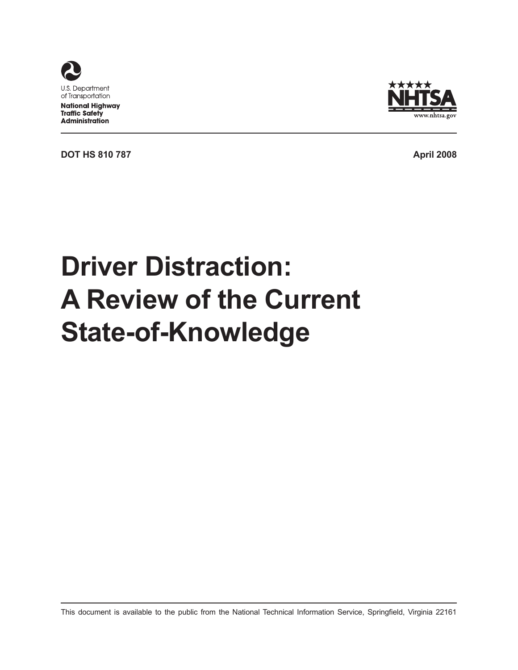



www.nhtsa.gov

# **Driver Distraction: A Review of the Current State-of-Knowledge**

This document is available to the public from the National Technical Information Service, Springfield, Virginia 22161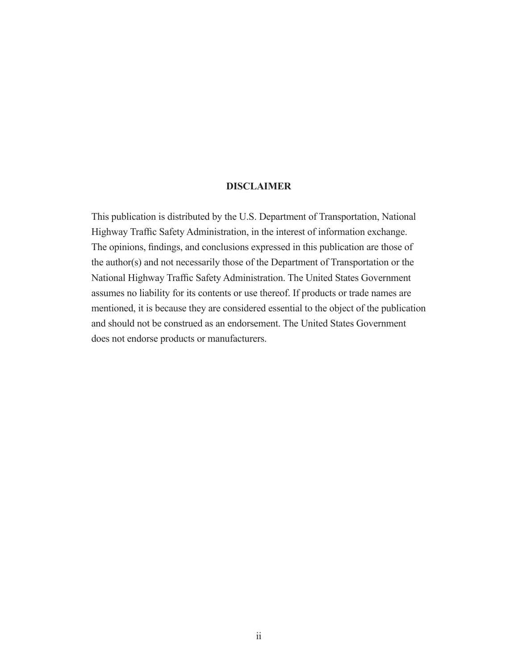#### **DISCLAIMER**

This publication is distributed by the U.S. Department of Transportation, National Highway Traffic Safety Administration, in the interest of information exchange. The opinions, findings, and conclusions expressed in this publication are those of the author(s) and not necessarily those of the Department of Transportation or the National Highway Traffic Safety Administration. The United States Government assumes no liability for its contents or use thereof. If products or trade names are mentioned, it is because they are considered essential to the object of the publication and should not be construed as an endorsement. The United States Government does not endorse products or manufacturers.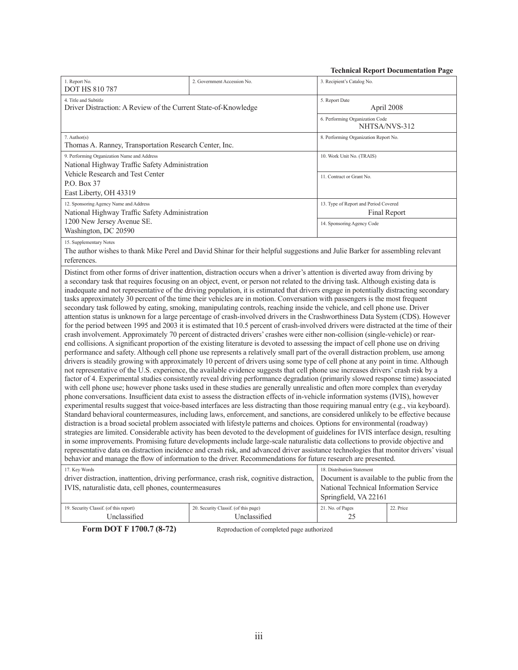| <b>Technical Report Documentation Page</b> |
|--------------------------------------------|
|--------------------------------------------|

| 1. Report No.<br>3. Recipient's Catalog No.<br>2. Government Accession No.<br><b>DOT HS 810 787</b><br>4. Title and Subtitle<br>5. Report Date<br>Driver Distraction: A Review of the Current State-of-Knowledge<br>April 2008<br>6. Performing Organization Code<br>NHTSA/NVS-312<br>7. Author(s)<br>8. Performing Organization Report No.<br>Thomas A. Ranney, Transportation Research Center, Inc.<br>9. Performing Organization Name and Address<br>10. Work Unit No. (TRAIS)<br>National Highway Traffic Safety Administration<br>Vehicle Research and Test Center<br>11. Contract or Grant No.<br>P.O. Box 37<br>East Liberty, OH 43319<br>12. Sponsoring Agency Name and Address<br>13. Type of Report and Period Covered<br>National Highway Traffic Safety Administration<br>Final Report<br>1200 New Jersey Avenue SE.<br>14. Sponsoring Agency Code<br>Washington, DC 20590<br>15. Supplementary Notes<br>The author wishes to thank Mike Perel and David Shinar for their helpful suggestions and Julie Barker for assembling relevant<br>references.<br>Distinct from other forms of driver inattention, distraction occurs when a driver's attention is diverted away from driving by<br>a secondary task that requires focusing on an object, event, or person not related to the driving task. Although existing data is<br>inadequate and not representative of the driving population, it is estimated that drivers engage in potentially distracting secondary<br>tasks approximately 30 percent of the time their vehicles are in motion. Conversation with passengers is the most frequent<br>secondary task followed by eating, smoking, manipulating controls, reaching inside the vehicle, and cell phone use. Driver<br>attention status is unknown for a large percentage of crash-involved drivers in the Crashworthiness Data System (CDS). However<br>for the period between 1995 and 2003 it is estimated that 10.5 percent of crash-involved drivers were distracted at the time of their<br>crash involvement. Approximately 70 percent of distracted drivers' crashes were either non-collision (single-vehicle) or rear-<br>end collisions. A significant proportion of the existing literature is devoted to assessing the impact of cell phone use on driving<br>performance and safety. Although cell phone use represents a relatively small part of the overall distraction problem, use among<br>drivers is steadily growing with approximately 10 percent of drivers using some type of cell phone at any point in time. Although<br>not representative of the U.S. experience, the available evidence suggests that cell phone use increases drivers' crash risk by a<br>factor of 4. Experimental studies consistently reveal driving performance degradation (primarily slowed response time) associated<br>with cell phone use; however phone tasks used in these studies are generally unrealistic and often more complex than everyday<br>phone conversations. Insufficient data exist to assess the distraction effects of in-vehicle information systems (IVIS), however<br>experimental results suggest that voice-based interfaces are less distracting than those requiring manual entry (e.g., via keyboard).<br>Standard behavioral countermeasures, including laws, enforcement, and sanctions, are considered unlikely to be effective because<br>distraction is a broad societal problem associated with lifestyle patterns and choices. Options for environmental (roadway)<br>strategies are limited. Considerable activity has been devoted to the development of guidelines for IVIS interface design, resulting<br>representative data on distraction incidence and crash risk, and advanced driver assistance technologies that monitor drivers' visual<br>behavior and manage the flow of information to the driver. Recommendations for future research are presented.<br>17. Key Words<br>18. Distribution Statement<br>Document is available to the public from the<br>driver distraction, inattention, driving performance, crash risk, cognitive distraction,<br>National Technical Information Service<br>Springfield, VA 22161<br>21. No. of Pages<br>19. Security Classif. (of this report)<br>20. Security Classif. (of this page)<br>22. Price<br>Unclassified<br>Unclassified<br>25 |                                                                                                                                                                                         |  |  | сенитсян терои с в осинтентатон т ад |  |
|----------------------------------------------------------------------------------------------------------------------------------------------------------------------------------------------------------------------------------------------------------------------------------------------------------------------------------------------------------------------------------------------------------------------------------------------------------------------------------------------------------------------------------------------------------------------------------------------------------------------------------------------------------------------------------------------------------------------------------------------------------------------------------------------------------------------------------------------------------------------------------------------------------------------------------------------------------------------------------------------------------------------------------------------------------------------------------------------------------------------------------------------------------------------------------------------------------------------------------------------------------------------------------------------------------------------------------------------------------------------------------------------------------------------------------------------------------------------------------------------------------------------------------------------------------------------------------------------------------------------------------------------------------------------------------------------------------------------------------------------------------------------------------------------------------------------------------------------------------------------------------------------------------------------------------------------------------------------------------------------------------------------------------------------------------------------------------------------------------------------------------------------------------------------------------------------------------------------------------------------------------------------------------------------------------------------------------------------------------------------------------------------------------------------------------------------------------------------------------------------------------------------------------------------------------------------------------------------------------------------------------------------------------------------------------------------------------------------------------------------------------------------------------------------------------------------------------------------------------------------------------------------------------------------------------------------------------------------------------------------------------------------------------------------------------------------------------------------------------------------------------------------------------------------------------------------------------------------------------------------------------------------------------------------------------------------------------------------------------------------------------------------------------------------------------------------------------------------------------------------------------------------------------------------------------------------------------------------------------------------------------------------------------------------------------------------------------------------------------------------------------------------------------------------------------------------------------------------------------------------------------------------------------------------------------------------------------------------------------------------------------------------------------------------------------------------------------------------------------------------------------------------------------------------------------------------------------------------------------------------------------------------------------------------------------------------------------------------------------------|-----------------------------------------------------------------------------------------------------------------------------------------------------------------------------------------|--|--|--------------------------------------|--|
|                                                                                                                                                                                                                                                                                                                                                                                                                                                                                                                                                                                                                                                                                                                                                                                                                                                                                                                                                                                                                                                                                                                                                                                                                                                                                                                                                                                                                                                                                                                                                                                                                                                                                                                                                                                                                                                                                                                                                                                                                                                                                                                                                                                                                                                                                                                                                                                                                                                                                                                                                                                                                                                                                                                                                                                                                                                                                                                                                                                                                                                                                                                                                                                                                                                                                                                                                                                                                                                                                                                                                                                                                                                                                                                                                                                                                                                                                                                                                                                                                                                                                                                                                                                                                                                                                                                                                                |                                                                                                                                                                                         |  |  |                                      |  |
|                                                                                                                                                                                                                                                                                                                                                                                                                                                                                                                                                                                                                                                                                                                                                                                                                                                                                                                                                                                                                                                                                                                                                                                                                                                                                                                                                                                                                                                                                                                                                                                                                                                                                                                                                                                                                                                                                                                                                                                                                                                                                                                                                                                                                                                                                                                                                                                                                                                                                                                                                                                                                                                                                                                                                                                                                                                                                                                                                                                                                                                                                                                                                                                                                                                                                                                                                                                                                                                                                                                                                                                                                                                                                                                                                                                                                                                                                                                                                                                                                                                                                                                                                                                                                                                                                                                                                                |                                                                                                                                                                                         |  |  |                                      |  |
|                                                                                                                                                                                                                                                                                                                                                                                                                                                                                                                                                                                                                                                                                                                                                                                                                                                                                                                                                                                                                                                                                                                                                                                                                                                                                                                                                                                                                                                                                                                                                                                                                                                                                                                                                                                                                                                                                                                                                                                                                                                                                                                                                                                                                                                                                                                                                                                                                                                                                                                                                                                                                                                                                                                                                                                                                                                                                                                                                                                                                                                                                                                                                                                                                                                                                                                                                                                                                                                                                                                                                                                                                                                                                                                                                                                                                                                                                                                                                                                                                                                                                                                                                                                                                                                                                                                                                                |                                                                                                                                                                                         |  |  |                                      |  |
|                                                                                                                                                                                                                                                                                                                                                                                                                                                                                                                                                                                                                                                                                                                                                                                                                                                                                                                                                                                                                                                                                                                                                                                                                                                                                                                                                                                                                                                                                                                                                                                                                                                                                                                                                                                                                                                                                                                                                                                                                                                                                                                                                                                                                                                                                                                                                                                                                                                                                                                                                                                                                                                                                                                                                                                                                                                                                                                                                                                                                                                                                                                                                                                                                                                                                                                                                                                                                                                                                                                                                                                                                                                                                                                                                                                                                                                                                                                                                                                                                                                                                                                                                                                                                                                                                                                                                                |                                                                                                                                                                                         |  |  |                                      |  |
|                                                                                                                                                                                                                                                                                                                                                                                                                                                                                                                                                                                                                                                                                                                                                                                                                                                                                                                                                                                                                                                                                                                                                                                                                                                                                                                                                                                                                                                                                                                                                                                                                                                                                                                                                                                                                                                                                                                                                                                                                                                                                                                                                                                                                                                                                                                                                                                                                                                                                                                                                                                                                                                                                                                                                                                                                                                                                                                                                                                                                                                                                                                                                                                                                                                                                                                                                                                                                                                                                                                                                                                                                                                                                                                                                                                                                                                                                                                                                                                                                                                                                                                                                                                                                                                                                                                                                                |                                                                                                                                                                                         |  |  |                                      |  |
|                                                                                                                                                                                                                                                                                                                                                                                                                                                                                                                                                                                                                                                                                                                                                                                                                                                                                                                                                                                                                                                                                                                                                                                                                                                                                                                                                                                                                                                                                                                                                                                                                                                                                                                                                                                                                                                                                                                                                                                                                                                                                                                                                                                                                                                                                                                                                                                                                                                                                                                                                                                                                                                                                                                                                                                                                                                                                                                                                                                                                                                                                                                                                                                                                                                                                                                                                                                                                                                                                                                                                                                                                                                                                                                                                                                                                                                                                                                                                                                                                                                                                                                                                                                                                                                                                                                                                                |                                                                                                                                                                                         |  |  |                                      |  |
|                                                                                                                                                                                                                                                                                                                                                                                                                                                                                                                                                                                                                                                                                                                                                                                                                                                                                                                                                                                                                                                                                                                                                                                                                                                                                                                                                                                                                                                                                                                                                                                                                                                                                                                                                                                                                                                                                                                                                                                                                                                                                                                                                                                                                                                                                                                                                                                                                                                                                                                                                                                                                                                                                                                                                                                                                                                                                                                                                                                                                                                                                                                                                                                                                                                                                                                                                                                                                                                                                                                                                                                                                                                                                                                                                                                                                                                                                                                                                                                                                                                                                                                                                                                                                                                                                                                                                                |                                                                                                                                                                                         |  |  |                                      |  |
|                                                                                                                                                                                                                                                                                                                                                                                                                                                                                                                                                                                                                                                                                                                                                                                                                                                                                                                                                                                                                                                                                                                                                                                                                                                                                                                                                                                                                                                                                                                                                                                                                                                                                                                                                                                                                                                                                                                                                                                                                                                                                                                                                                                                                                                                                                                                                                                                                                                                                                                                                                                                                                                                                                                                                                                                                                                                                                                                                                                                                                                                                                                                                                                                                                                                                                                                                                                                                                                                                                                                                                                                                                                                                                                                                                                                                                                                                                                                                                                                                                                                                                                                                                                                                                                                                                                                                                |                                                                                                                                                                                         |  |  |                                      |  |
|                                                                                                                                                                                                                                                                                                                                                                                                                                                                                                                                                                                                                                                                                                                                                                                                                                                                                                                                                                                                                                                                                                                                                                                                                                                                                                                                                                                                                                                                                                                                                                                                                                                                                                                                                                                                                                                                                                                                                                                                                                                                                                                                                                                                                                                                                                                                                                                                                                                                                                                                                                                                                                                                                                                                                                                                                                                                                                                                                                                                                                                                                                                                                                                                                                                                                                                                                                                                                                                                                                                                                                                                                                                                                                                                                                                                                                                                                                                                                                                                                                                                                                                                                                                                                                                                                                                                                                |                                                                                                                                                                                         |  |  |                                      |  |
|                                                                                                                                                                                                                                                                                                                                                                                                                                                                                                                                                                                                                                                                                                                                                                                                                                                                                                                                                                                                                                                                                                                                                                                                                                                                                                                                                                                                                                                                                                                                                                                                                                                                                                                                                                                                                                                                                                                                                                                                                                                                                                                                                                                                                                                                                                                                                                                                                                                                                                                                                                                                                                                                                                                                                                                                                                                                                                                                                                                                                                                                                                                                                                                                                                                                                                                                                                                                                                                                                                                                                                                                                                                                                                                                                                                                                                                                                                                                                                                                                                                                                                                                                                                                                                                                                                                                                                |                                                                                                                                                                                         |  |  |                                      |  |
|                                                                                                                                                                                                                                                                                                                                                                                                                                                                                                                                                                                                                                                                                                                                                                                                                                                                                                                                                                                                                                                                                                                                                                                                                                                                                                                                                                                                                                                                                                                                                                                                                                                                                                                                                                                                                                                                                                                                                                                                                                                                                                                                                                                                                                                                                                                                                                                                                                                                                                                                                                                                                                                                                                                                                                                                                                                                                                                                                                                                                                                                                                                                                                                                                                                                                                                                                                                                                                                                                                                                                                                                                                                                                                                                                                                                                                                                                                                                                                                                                                                                                                                                                                                                                                                                                                                                                                | in some improvements. Promising future developments include large-scale naturalistic data collections to provide objective and<br>IVIS, naturalistic data, cell phones, countermeasures |  |  |                                      |  |
|                                                                                                                                                                                                                                                                                                                                                                                                                                                                                                                                                                                                                                                                                                                                                                                                                                                                                                                                                                                                                                                                                                                                                                                                                                                                                                                                                                                                                                                                                                                                                                                                                                                                                                                                                                                                                                                                                                                                                                                                                                                                                                                                                                                                                                                                                                                                                                                                                                                                                                                                                                                                                                                                                                                                                                                                                                                                                                                                                                                                                                                                                                                                                                                                                                                                                                                                                                                                                                                                                                                                                                                                                                                                                                                                                                                                                                                                                                                                                                                                                                                                                                                                                                                                                                                                                                                                                                |                                                                                                                                                                                         |  |  |                                      |  |

**Form DOT F 1700.7 (8-72)** Reproduction of completed page authorized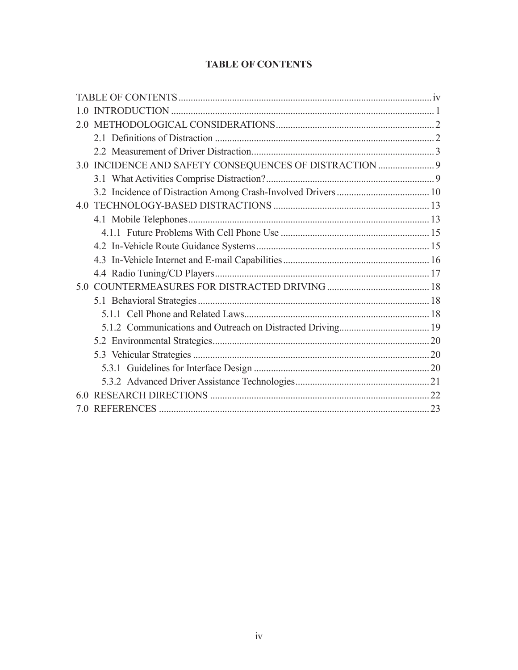## **TABLE OF CONTENTS**

| 1.0 |  |
|-----|--|
| 2.0 |  |
|     |  |
|     |  |
| 3 Q |  |
|     |  |
|     |  |
| 4.0 |  |
|     |  |
|     |  |
|     |  |
|     |  |
|     |  |
| 5.0 |  |
|     |  |
|     |  |
|     |  |
|     |  |
|     |  |
|     |  |
|     |  |
| 60  |  |
|     |  |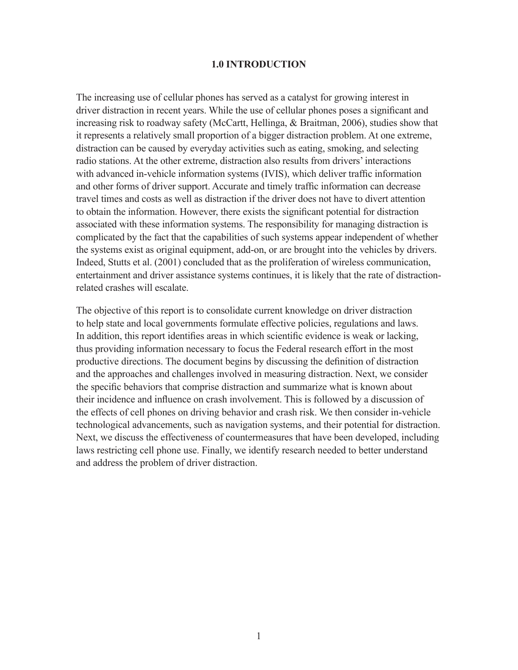#### **1.0 INTRODUCTION**

The increasing use of cellular phones has served as a catalyst for growing interest in driver distraction in recent years. While the use of cellular phones poses a significant and increasing risk to roadway safety (McCartt, Hellinga, & Braitman, 2006), studies show that it represents a relatively small proportion of a bigger distraction problem. At one extreme, distraction can be caused by everyday activities such as eating, smoking, and selecting radio stations. At the other extreme, distraction also results from drivers' interactions with advanced in-vehicle information systems (IVIS), which deliver traffic information and other forms of driver support. Accurate and timely traffic information can decrease travel times and costs as well as distraction if the driver does not have to divert attention to obtain the information. However, there exists the significant potential for distraction associated with these information systems. The responsibility for managing distraction is complicated by the fact that the capabilities of such systems appear independent of whether the systems exist as original equipment, add-on, or are brought into the vehicles by drivers. Indeed, Stutts et al. (2001) concluded that as the proliferation of wireless communication, entertainment and driver assistance systems continues, it is likely that the rate of distractionrelated crashes will escalate.

The objective of this report is to consolidate current knowledge on driver distraction to help state and local governments formulate effective policies, regulations and laws. In addition, this report identifies areas in which scientific evidence is weak or lacking, thus providing information necessary to focus the Federal research effort in the most productive directions. The document begins by discussing the definition of distraction and the approaches and challenges involved in measuring distraction. Next, we consider the specific behaviors that comprise distraction and summarize what is known about their incidence and influence on crash involvement. This is followed by a discussion of the effects of cell phones on driving behavior and crash risk. We then consider in-vehicle technological advancements, such as navigation systems, and their potential for distraction. Next, we discuss the effectiveness of countermeasures that have been developed, including laws restricting cell phone use. Finally, we identify research needed to better understand and address the problem of driver distraction.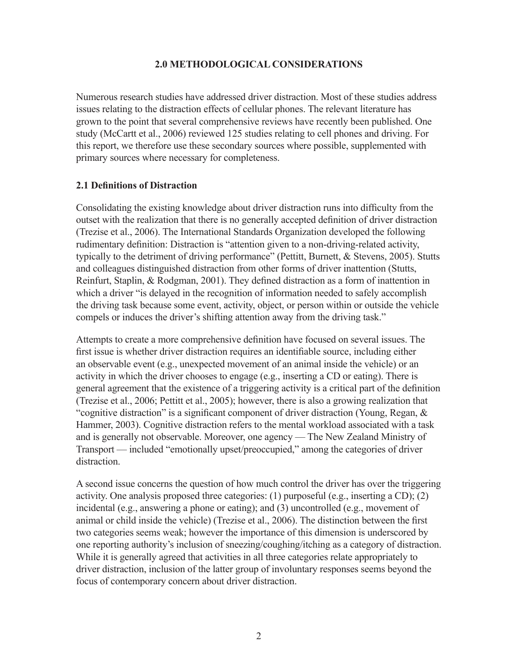#### **2.0 METHODOLOGICAL CONSIDERATIONS**

Numerous research studies have addressed driver distraction. Most of these studies address issues relating to the distraction effects of cellular phones. The relevant literature has grown to the point that several comprehensive reviews have recently been published. One study (McCartt et al., 2006) reviewed 125 studies relating to cell phones and driving. For this report, we therefore use these secondary sources where possible, supplemented with primary sources where necessary for completeness.

#### **2.1 Definitions of Distraction**

Consolidating the existing knowledge about driver distraction runs into difficulty from the outset with the realization that there is no generally accepted definition of driver distraction (Trezise et al., 2006). The International Standards Organization developed the following rudimentary definition: Distraction is "attention given to a non-driving-related activity, typically to the detriment of driving performance" (Pettitt, Burnett, & Stevens, 2005). Stutts and colleagues distinguished distraction from other forms of driver inattention (Stutts, Reinfurt, Staplin, & Rodgman, 2001). They defined distraction as a form of inattention in which a driver "is delayed in the recognition of information needed to safely accomplish the driving task because some event, activity, object, or person within or outside the vehicle compels or induces the driver's shifting attention away from the driving task."

Attempts to create a more comprehensive definition have focused on several issues. The first issue is whether driver distraction requires an identifiable source, including either an observable event (e.g., unexpected movement of an animal inside the vehicle) or an activity in which the driver chooses to engage (e.g., inserting a CD or eating). There is general agreement that the existence of a triggering activity is a critical part of the definition (Trezise et al., 2006; Pettitt et al., 2005); however, there is also a growing realization that "cognitive distraction" is a significant component of driver distraction (Young, Regan, & Hammer, 2003). Cognitive distraction refers to the mental workload associated with a task and is generally not observable. Moreover, one agency — The New Zealand Ministry of Transport — included "emotionally upset/preoccupied," among the categories of driver distraction.

A second issue concerns the question of how much control the driver has over the triggering activity. One analysis proposed three categories: (1) purposeful (e.g., inserting a CD); (2) incidental (e.g., answering a phone or eating); and (3) uncontrolled (e.g., movement of animal or child inside the vehicle) (Trezise et al., 2006). The distinction between the first two categories seems weak; however the importance of this dimension is underscored by one reporting authority's inclusion of sneezing/coughing/itching as a category of distraction. While it is generally agreed that activities in all three categories relate appropriately to driver distraction, inclusion of the latter group of involuntary responses seems beyond the focus of contemporary concern about driver distraction.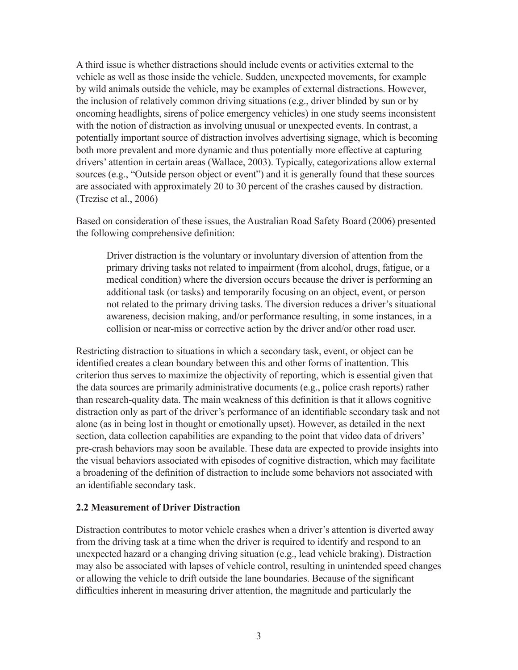A third issue is whether distractions should include events or activities external to the vehicle as well as those inside the vehicle. Sudden, unexpected movements, for example by wild animals outside the vehicle, may be examples of external distractions. However, the inclusion of relatively common driving situations (e.g., driver blinded by sun or by oncoming headlights, sirens of police emergency vehicles) in one study seems inconsistent with the notion of distraction as involving unusual or unexpected events. In contrast, a potentially important source of distraction involves advertising signage, which is becoming both more prevalent and more dynamic and thus potentially more effective at capturing drivers' attention in certain areas (Wallace, 2003). Typically, categorizations allow external sources (e.g., "Outside person object or event") and it is generally found that these sources are associated with approximately 20 to 30 percent of the crashes caused by distraction. (Trezise et al., 2006)

Based on consideration of these issues, the Australian Road Safety Board (2006) presented the following comprehensive definition:

Driver distraction is the voluntary or involuntary diversion of attention from the primary driving tasks not related to impairment (from alcohol, drugs, fatigue, or a medical condition) where the diversion occurs because the driver is performing an additional task (or tasks) and temporarily focusing on an object, event, or person not related to the primary driving tasks. The diversion reduces a driver's situational awareness, decision making, and/or performance resulting, in some instances, in a collision or near-miss or corrective action by the driver and/or other road user.

Restricting distraction to situations in which a secondary task, event, or object can be identified creates a clean boundary between this and other forms of inattention. This criterion thus serves to maximize the objectivity of reporting, which is essential given that the data sources are primarily administrative documents (e.g., police crash reports) rather than research-quality data. The main weakness of this definition is that it allows cognitive distraction only as part of the driver's performance of an identifiable secondary task and not alone (as in being lost in thought or emotionally upset). However, as detailed in the next section, data collection capabilities are expanding to the point that video data of drivers' pre-crash behaviors may soon be available. These data are expected to provide insights into the visual behaviors associated with episodes of cognitive distraction, which may facilitate a broadening of the definition of distraction to include some behaviors not associated with an identifiable secondary task.

#### **2.2 Measurement of Driver Distraction**

Distraction contributes to motor vehicle crashes when a driver's attention is diverted away from the driving task at a time when the driver is required to identify and respond to an unexpected hazard or a changing driving situation (e.g., lead vehicle braking). Distraction may also be associated with lapses of vehicle control, resulting in unintended speed changes or allowing the vehicle to drift outside the lane boundaries. Because of the significant difficulties inherent in measuring driver attention, the magnitude and particularly the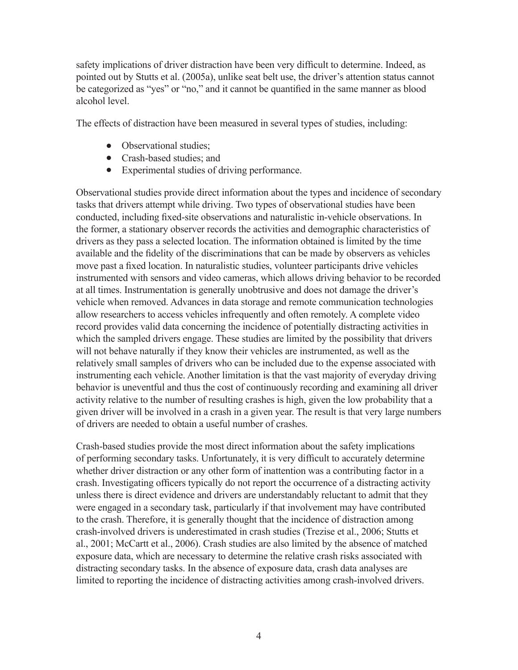safety implications of driver distraction have been very difficult to determine. Indeed, as pointed out by Stutts et al. (2005a), unlike seat belt use, the driver's attention status cannot be categorized as "yes" or "no," and it cannot be quantified in the same manner as blood alcohol level.

The effects of distraction have been measured in several types of studies, including:

- Observational studies:
- Crash-based studies; and
- Experimental studies of driving performance.

Observational studies provide direct information about the types and incidence of secondary tasks that drivers attempt while driving. Two types of observational studies have been conducted, including fixed-site observations and naturalistic in-vehicle observations. In the former, a stationary observer records the activities and demographic characteristics of drivers as they pass a selected location. The information obtained is limited by the time available and the fidelity of the discriminations that can be made by observers as vehicles move past a fixed location. In naturalistic studies, volunteer participants drive vehicles instrumented with sensors and video cameras, which allows driving behavior to be recorded at all times. Instrumentation is generally unobtrusive and does not damage the driver's vehicle when removed. Advances in data storage and remote communication technologies allow researchers to access vehicles infrequently and often remotely. A complete video record provides valid data concerning the incidence of potentially distracting activities in which the sampled drivers engage. These studies are limited by the possibility that drivers will not behave naturally if they know their vehicles are instrumented, as well as the relatively small samples of drivers who can be included due to the expense associated with instrumenting each vehicle. Another limitation is that the vast majority of everyday driving behavior is uneventful and thus the cost of continuously recording and examining all driver activity relative to the number of resulting crashes is high, given the low probability that a given driver will be involved in a crash in a given year. The result is that very large numbers of drivers are needed to obtain a useful number of crashes.

Crash-based studies provide the most direct information about the safety implications of performing secondary tasks. Unfortunately, it is very difficult to accurately determine whether driver distraction or any other form of inattention was a contributing factor in a crash. Investigating officers typically do not report the occurrence of a distracting activity unless there is direct evidence and drivers are understandably reluctant to admit that they were engaged in a secondary task, particularly if that involvement may have contributed to the crash. Therefore, it is generally thought that the incidence of distraction among crash-involved drivers is underestimated in crash studies (Trezise et al., 2006; Stutts et al., 2001; McCartt et al., 2006). Crash studies are also limited by the absence of matched exposure data, which are necessary to determine the relative crash risks associated with distracting secondary tasks. In the absence of exposure data, crash data analyses are limited to reporting the incidence of distracting activities among crash-involved drivers.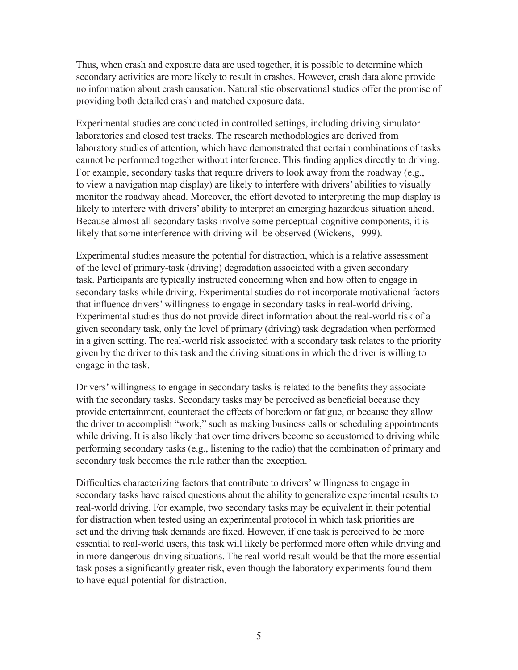Thus, when crash and exposure data are used together, it is possible to determine which secondary activities are more likely to result in crashes. However, crash data alone provide no information about crash causation. Naturalistic observational studies offer the promise of providing both detailed crash and matched exposure data.

Experimental studies are conducted in controlled settings, including driving simulator laboratories and closed test tracks. The research methodologies are derived from laboratory studies of attention, which have demonstrated that certain combinations of tasks cannot be performed together without interference. This finding applies directly to driving. For example, secondary tasks that require drivers to look away from the roadway (e.g., to view a navigation map display) are likely to interfere with drivers' abilities to visually monitor the roadway ahead. Moreover, the effort devoted to interpreting the map display is likely to interfere with drivers' ability to interpret an emerging hazardous situation ahead. Because almost all secondary tasks involve some perceptual-cognitive components, it is likely that some interference with driving will be observed (Wickens, 1999).

Experimental studies measure the potential for distraction, which is a relative assessment of the level of primary-task (driving) degradation associated with a given secondary task. Participants are typically instructed concerning when and how often to engage in secondary tasks while driving. Experimental studies do not incorporate motivational factors that influence drivers' willingness to engage in secondary tasks in real-world driving. Experimental studies thus do not provide direct information about the real-world risk of a given secondary task, only the level of primary (driving) task degradation when performed in a given setting. The real-world risk associated with a secondary task relates to the priority given by the driver to this task and the driving situations in which the driver is willing to engage in the task.

Drivers' willingness to engage in secondary tasks is related to the benefits they associate with the secondary tasks. Secondary tasks may be perceived as beneficial because they provide entertainment, counteract the effects of boredom or fatigue, or because they allow the driver to accomplish "work," such as making business calls or scheduling appointments while driving. It is also likely that over time drivers become so accustomed to driving while performing secondary tasks (e.g., listening to the radio) that the combination of primary and secondary task becomes the rule rather than the exception.

Difficulties characterizing factors that contribute to drivers' willingness to engage in secondary tasks have raised questions about the ability to generalize experimental results to real-world driving. For example, two secondary tasks may be equivalent in their potential for distraction when tested using an experimental protocol in which task priorities are set and the driving task demands are fixed. However, if one task is perceived to be more essential to real-world users, this task will likely be performed more often while driving and in more-dangerous driving situations. The real-world result would be that the more essential task poses a significantly greater risk, even though the laboratory experiments found them to have equal potential for distraction.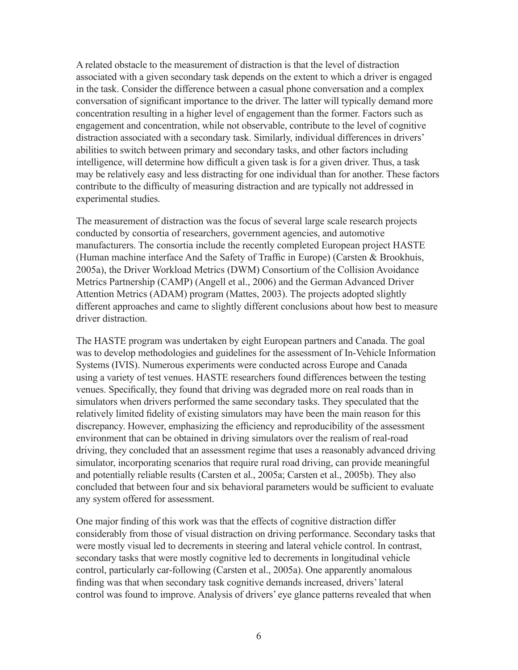A related obstacle to the measurement of distraction is that the level of distraction associated with a given secondary task depends on the extent to which a driver is engaged in the task. Consider the difference between a casual phone conversation and a complex conversation of significant importance to the driver. The latter will typically demand more concentration resulting in a higher level of engagement than the former. Factors such as engagement and concentration, while not observable, contribute to the level of cognitive distraction associated with a secondary task. Similarly, individual differences in drivers' abilities to switch between primary and secondary tasks, and other factors including intelligence, will determine how difficult a given task is for a given driver. Thus, a task may be relatively easy and less distracting for one individual than for another. These factors contribute to the difficulty of measuring distraction and are typically not addressed in experimental studies.

The measurement of distraction was the focus of several large scale research projects conducted by consortia of researchers, government agencies, and automotive manufacturers. The consortia include the recently completed European project HASTE (Human machine interface And the Safety of Traffic in Europe) (Carsten & Brookhuis, 2005a), the Driver Workload Metrics (DWM) Consortium of the Collision Avoidance Metrics Partnership (CAMP) (Angell et al., 2006) and the German Advanced Driver Attention Metrics (ADAM) program (Mattes, 2003). The projects adopted slightly different approaches and came to slightly different conclusions about how best to measure driver distraction.

The HASTE program was undertaken by eight European partners and Canada. The goal was to develop methodologies and guidelines for the assessment of In-Vehicle Information Systems (IVIS). Numerous experiments were conducted across Europe and Canada using a variety of test venues. HASTE researchers found differences between the testing venues. Specifically, they found that driving was degraded more on real roads than in simulators when drivers performed the same secondary tasks. They speculated that the relatively limited fidelity of existing simulators may have been the main reason for this discrepancy. However, emphasizing the efficiency and reproducibility of the assessment environment that can be obtained in driving simulators over the realism of real-road driving, they concluded that an assessment regime that uses a reasonably advanced driving simulator, incorporating scenarios that require rural road driving, can provide meaningful and potentially reliable results (Carsten et al., 2005a; Carsten et al., 2005b). They also concluded that between four and six behavioral parameters would be sufficient to evaluate any system offered for assessment.

One major finding of this work was that the effects of cognitive distraction differ considerably from those of visual distraction on driving performance. Secondary tasks that were mostly visual led to decrements in steering and lateral vehicle control. In contrast, secondary tasks that were mostly cognitive led to decrements in longitudinal vehicle control, particularly car-following (Carsten et al., 2005a). One apparently anomalous finding was that when secondary task cognitive demands increased, drivers' lateral control was found to improve. Analysis of drivers' eye glance patterns revealed that when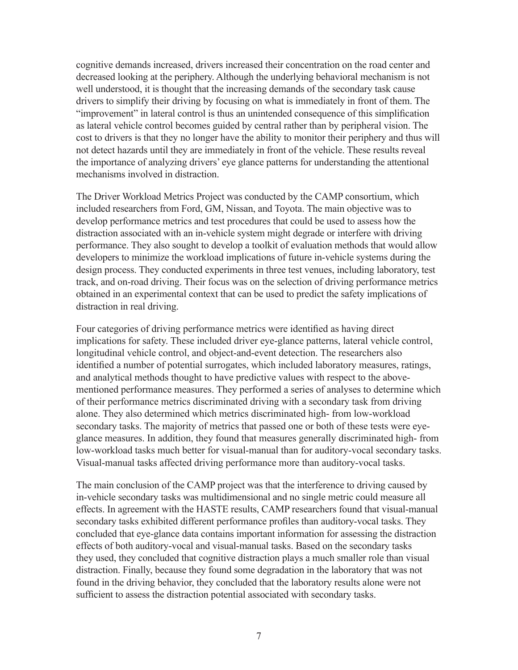cognitive demands increased, drivers increased their concentration on the road center and decreased looking at the periphery. Although the underlying behavioral mechanism is not well understood, it is thought that the increasing demands of the secondary task cause drivers to simplify their driving by focusing on what is immediately in front of them. The "improvement" in lateral control is thus an unintended consequence of this simplification as lateral vehicle control becomes guided by central rather than by peripheral vision. The cost to drivers is that they no longer have the ability to monitor their periphery and thus will not detect hazards until they are immediately in front of the vehicle. These results reveal the importance of analyzing drivers' eye glance patterns for understanding the attentional mechanisms involved in distraction.

The Driver Workload Metrics Project was conducted by the CAMP consortium, which included researchers from Ford, GM, Nissan, and Toyota. The main objective was to develop performance metrics and test procedures that could be used to assess how the distraction associated with an in-vehicle system might degrade or interfere with driving performance. They also sought to develop a toolkit of evaluation methods that would allow developers to minimize the workload implications of future in-vehicle systems during the design process. They conducted experiments in three test venues, including laboratory, test track, and on-road driving. Their focus was on the selection of driving performance metrics obtained in an experimental context that can be used to predict the safety implications of distraction in real driving.

Four categories of driving performance metrics were identified as having direct implications for safety. These included driver eye-glance patterns, lateral vehicle control, longitudinal vehicle control, and object-and-event detection. The researchers also identified a number of potential surrogates, which included laboratory measures, ratings, and analytical methods thought to have predictive values with respect to the abovementioned performance measures. They performed a series of analyses to determine which of their performance metrics discriminated driving with a secondary task from driving alone. They also determined which metrics discriminated high- from low-workload secondary tasks. The majority of metrics that passed one or both of these tests were eyeglance measures. In addition, they found that measures generally discriminated high- from low-workload tasks much better for visual-manual than for auditory-vocal secondary tasks. Visual-manual tasks affected driving performance more than auditory-vocal tasks.

The main conclusion of the CAMP project was that the interference to driving caused by in-vehicle secondary tasks was multidimensional and no single metric could measure all effects. In agreement with the HASTE results, CAMP researchers found that visual-manual secondary tasks exhibited different performance profiles than auditory-vocal tasks. They concluded that eye-glance data contains important information for assessing the distraction effects of both auditory-vocal and visual-manual tasks. Based on the secondary tasks they used, they concluded that cognitive distraction plays a much smaller role than visual distraction. Finally, because they found some degradation in the laboratory that was not found in the driving behavior, they concluded that the laboratory results alone were not sufficient to assess the distraction potential associated with secondary tasks.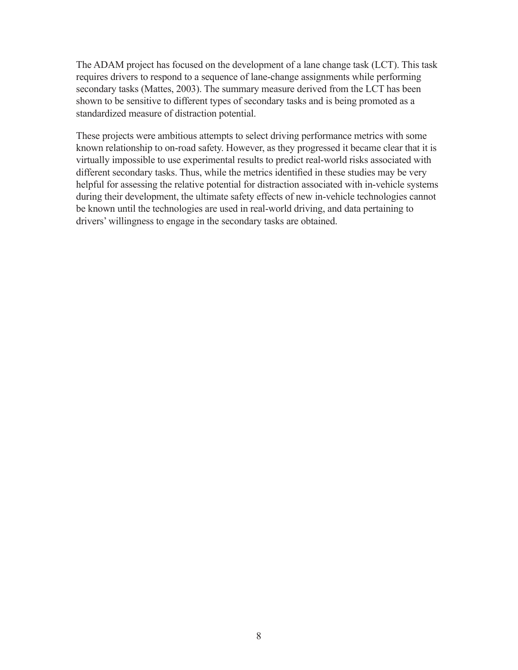The ADAM project has focused on the development of a lane change task (LCT). This task requires drivers to respond to a sequence of lane-change assignments while performing secondary tasks (Mattes, 2003). The summary measure derived from the LCT has been shown to be sensitive to different types of secondary tasks and is being promoted as a standardized measure of distraction potential.

These projects were ambitious attempts to select driving performance metrics with some known relationship to on-road safety. However, as they progressed it became clear that it is virtually impossible to use experimental results to predict real-world risks associated with different secondary tasks. Thus, while the metrics identified in these studies may be very helpful for assessing the relative potential for distraction associated with in-vehicle systems during their development, the ultimate safety effects of new in-vehicle technologies cannot be known until the technologies are used in real-world driving, and data pertaining to drivers' willingness to engage in the secondary tasks are obtained.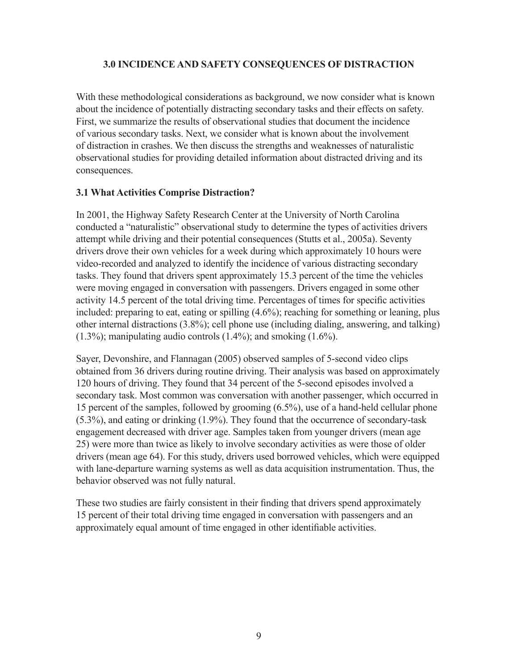## **3.0 INCIDENCE AND SAFETY CONSEQUENCES OF DISTRACTION**

With these methodological considerations as background, we now consider what is known about the incidence of potentially distracting secondary tasks and their effects on safety. First, we summarize the results of observational studies that document the incidence of various secondary tasks. Next, we consider what is known about the involvement of distraction in crashes. We then discuss the strengths and weaknesses of naturalistic observational studies for providing detailed information about distracted driving and its consequences.

#### **3.1 What Activities Comprise Distraction?**

In 2001, the Highway Safety Research Center at the University of North Carolina conducted a "naturalistic" observational study to determine the types of activities drivers attempt while driving and their potential consequences (Stutts et al., 2005a). Seventy drivers drove their own vehicles for a week during which approximately 10 hours were video-recorded and analyzed to identify the incidence of various distracting secondary tasks. They found that drivers spent approximately 15.3 percent of the time the vehicles were moving engaged in conversation with passengers. Drivers engaged in some other activity 14.5 percent of the total driving time. Percentages of times for specific activities included: preparing to eat, eating or spilling (4.6%); reaching for something or leaning, plus other internal distractions (3.8%); cell phone use (including dialing, answering, and talking) (1.3%); manipulating audio controls (1.4%); and smoking (1.6%).

Sayer, Devonshire, and Flannagan (2005) observed samples of 5-second video clips obtained from 36 drivers during routine driving. Their analysis was based on approximately 120 hours of driving. They found that 34 percent of the 5-second episodes involved a secondary task. Most common was conversation with another passenger, which occurred in 15 percent of the samples, followed by grooming (6.5%), use of a hand-held cellular phone (5.3%), and eating or drinking (1.9%). They found that the occurrence of secondary-task engagement decreased with driver age. Samples taken from younger drivers (mean age 25) were more than twice as likely to involve secondary activities as were those of older drivers (mean age 64). For this study, drivers used borrowed vehicles, which were equipped with lane-departure warning systems as well as data acquisition instrumentation. Thus, the behavior observed was not fully natural.

These two studies are fairly consistent in their finding that drivers spend approximately 15 percent of their total driving time engaged in conversation with passengers and an approximately equal amount of time engaged in other identifiable activities.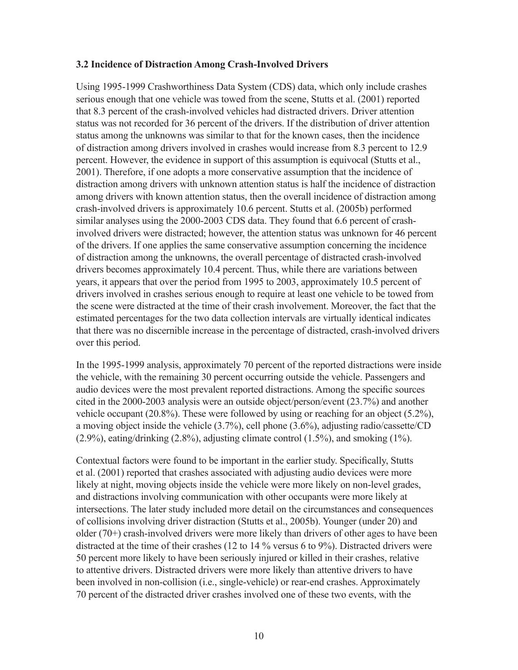#### **3.2 Incidence of Distraction Among Crash-Involved Drivers**

Using 1995-1999 Crashworthiness Data System (CDS) data, which only include crashes serious enough that one vehicle was towed from the scene, Stutts et al. (2001) reported that 8.3 percent of the crash-involved vehicles had distracted drivers. Driver attention status was not recorded for 36 percent of the drivers. If the distribution of driver attention status among the unknowns was similar to that for the known cases, then the incidence of distraction among drivers involved in crashes would increase from 8.3 percent to 12.9 percent. However, the evidence in support of this assumption is equivocal (Stutts et al., 2001). Therefore, if one adopts a more conservative assumption that the incidence of distraction among drivers with unknown attention status is half the incidence of distraction among drivers with known attention status, then the overall incidence of distraction among crash-involved drivers is approximately 10.6 percent. Stutts et al. (2005b) performed similar analyses using the 2000-2003 CDS data. They found that 6.6 percent of crashinvolved drivers were distracted; however, the attention status was unknown for 46 percent of the drivers. If one applies the same conservative assumption concerning the incidence of distraction among the unknowns, the overall percentage of distracted crash-involved drivers becomes approximately 10.4 percent. Thus, while there are variations between years, it appears that over the period from 1995 to 2003, approximately 10.5 percent of drivers involved in crashes serious enough to require at least one vehicle to be towed from the scene were distracted at the time of their crash involvement. Moreover, the fact that the estimated percentages for the two data collection intervals are virtually identical indicates that there was no discernible increase in the percentage of distracted, crash-involved drivers over this period.

In the 1995-1999 analysis, approximately 70 percent of the reported distractions were inside the vehicle, with the remaining 30 percent occurring outside the vehicle. Passengers and audio devices were the most prevalent reported distractions. Among the specific sources cited in the 2000-2003 analysis were an outside object/person/event (23.7%) and another vehicle occupant (20.8%). These were followed by using or reaching for an object (5.2%), a moving object inside the vehicle (3.7%), cell phone (3.6%), adjusting radio/cassette/CD (2.9%), eating/drinking (2.8%), adjusting climate control (1.5%), and smoking (1%).

Contextual factors were found to be important in the earlier study. Specifically, Stutts et al. (2001) reported that crashes associated with adjusting audio devices were more likely at night, moving objects inside the vehicle were more likely on non-level grades, and distractions involving communication with other occupants were more likely at intersections. The later study included more detail on the circumstances and consequences of collisions involving driver distraction (Stutts et al., 2005b). Younger (under 20) and older (70+) crash-involved drivers were more likely than drivers of other ages to have been distracted at the time of their crashes (12 to 14 % versus 6 to 9%). Distracted drivers were 50 percent more likely to have been seriously injured or killed in their crashes, relative to attentive drivers. Distracted drivers were more likely than attentive drivers to have been involved in non-collision (i.e., single-vehicle) or rear-end crashes. Approximately 70 percent of the distracted driver crashes involved one of these two events, with the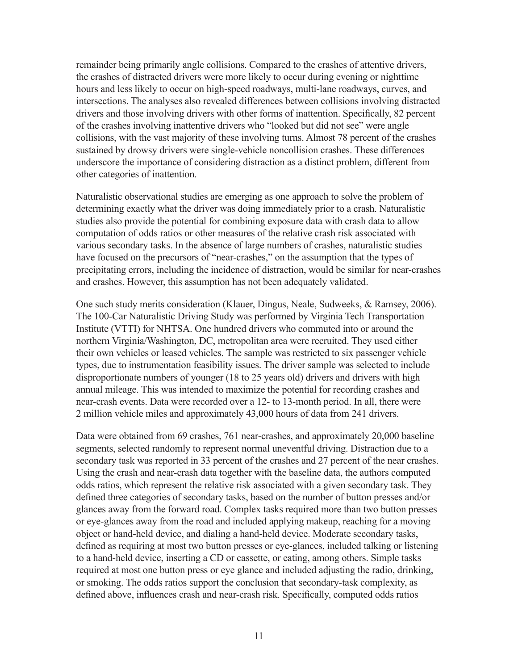remainder being primarily angle collisions. Compared to the crashes of attentive drivers, the crashes of distracted drivers were more likely to occur during evening or nighttime hours and less likely to occur on high-speed roadways, multi-lane roadways, curves, and intersections. The analyses also revealed differences between collisions involving distracted drivers and those involving drivers with other forms of inattention. Specifically, 82 percent of the crashes involving inattentive drivers who "looked but did not see" were angle collisions, with the vast majority of these involving turns. Almost 78 percent of the crashes sustained by drowsy drivers were single-vehicle noncollision crashes. These differences underscore the importance of considering distraction as a distinct problem, different from other categories of inattention.

Naturalistic observational studies are emerging as one approach to solve the problem of determining exactly what the driver was doing immediately prior to a crash. Naturalistic studies also provide the potential for combining exposure data with crash data to allow computation of odds ratios or other measures of the relative crash risk associated with various secondary tasks. In the absence of large numbers of crashes, naturalistic studies have focused on the precursors of "near-crashes," on the assumption that the types of precipitating errors, including the incidence of distraction, would be similar for near-crashes and crashes. However, this assumption has not been adequately validated.

One such study merits consideration (Klauer, Dingus, Neale, Sudweeks, & Ramsey, 2006). The 100-Car Naturalistic Driving Study was performed by Virginia Tech Transportation Institute (VTTI) for NHTSA. One hundred drivers who commuted into or around the northern Virginia/Washington, DC, metropolitan area were recruited. They used either their own vehicles or leased vehicles. The sample was restricted to six passenger vehicle types, due to instrumentation feasibility issues. The driver sample was selected to include disproportionate numbers of younger (18 to 25 years old) drivers and drivers with high annual mileage. This was intended to maximize the potential for recording crashes and near-crash events. Data were recorded over a 12- to 13-month period. In all, there were 2 million vehicle miles and approximately 43,000 hours of data from 241 drivers.

Data were obtained from 69 crashes, 761 near-crashes, and approximately 20,000 baseline segments, selected randomly to represent normal uneventful driving. Distraction due to a secondary task was reported in 33 percent of the crashes and 27 percent of the near crashes. Using the crash and near-crash data together with the baseline data, the authors computed odds ratios, which represent the relative risk associated with a given secondary task. They defined three categories of secondary tasks, based on the number of button presses and/or glances away from the forward road. Complex tasks required more than two button presses or eye-glances away from the road and included applying makeup, reaching for a moving object or hand-held device, and dialing a hand-held device. Moderate secondary tasks, defined as requiring at most two button presses or eye-glances, included talking or listening to a hand-held device, inserting a CD or cassette, or eating, among others. Simple tasks required at most one button press or eye glance and included adjusting the radio, drinking, or smoking. The odds ratios support the conclusion that secondary-task complexity, as defined above, influences crash and near-crash risk. Specifically, computed odds ratios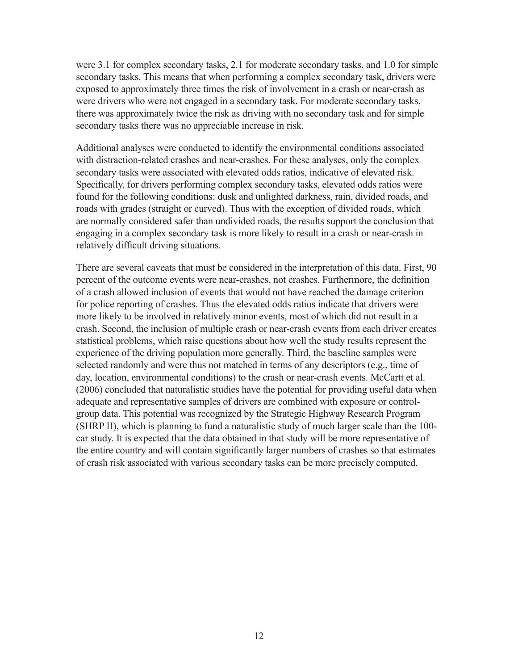were 3.1 for complex secondary tasks, 2.1 for moderate secondary tasks, and 1.0 for simple secondary tasks. This means that when performing a complex secondary task, drivers were exposed to approximately three times the risk of involvement in a crash or near-crash as were drivers who were not engaged in a secondary task. For moderate secondary tasks, there was approximately twice the risk as driving with no secondary task and for simple secondary tasks there was no appreciable increase in risk.

Additional analyses were conducted to identify the environmental conditions associated with distraction-related crashes and near-crashes. For these analyses, only the complex secondary tasks were associated with elevated odds ratios, indicative of elevated risk. Specifically, for drivers performing complex secondary tasks, elevated odds ratios were found for the following conditions: dusk and unlighted darkness, rain, divided roads, and roads with grades (straight or curved). Thus with the exception of divided roads, which are normally considered safer than undivided roads, the results support the conclusion that engaging in a complex secondary task is more likely to result in a crash or near-crash in relatively difficult driving situations.

There are several caveats that must be considered in the interpretation of this data. First, 90 percent of the outcome events were near-crashes, not crashes. Furthermore, the definition of a crash allowed inclusion of events that would not have reached the damage criterion for police reporting of crashes. Thus the elevated odds ratios indicate that drivers were more likely to be involved in relatively minor events, most of which did not result in a crash. Second, the inclusion of multiple crash or near-crash events from each driver creates statistical problems, which raise questions about how well the study results represent the experience of the driving population more generally. Third, the baseline samples were selected randomly and were thus not matched in terms of any descriptors (e.g., time of day, location, environmental conditions) to the crash or near-crash events. McCartt et al. (2006) concluded that naturalistic studies have the potential for providing useful data when adequate and representative samples of drivers are combined with exposure or controlgroup data. This potential was recognized by the Strategic Highway Research Program (SHRP II), which is planning to fund a naturalistic study of much larger scale than the 100 car study. It is expected that the data obtained in that study will be more representative of the entire country and will contain significantly larger numbers of crashes so that estimates of crash risk associated with various secondary tasks can be more precisely computed.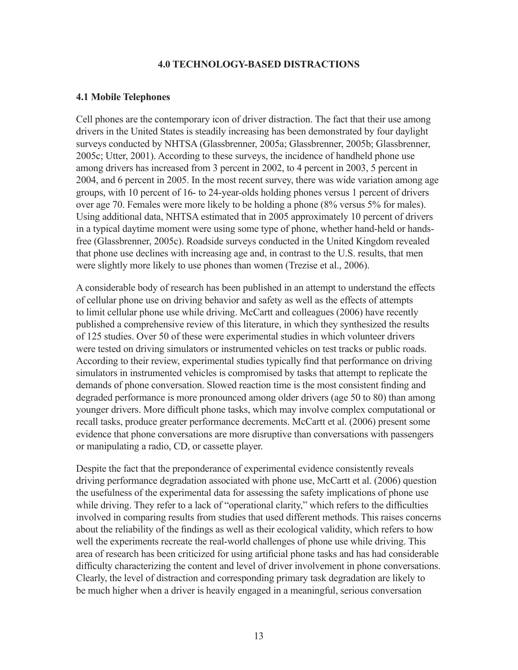#### **4.0 TECHNOLOGY-BASED DISTRACTIONS**

#### **4.1 Mobile Telephones**

Cell phones are the contemporary icon of driver distraction. The fact that their use among drivers in the United States is steadily increasing has been demonstrated by four daylight surveys conducted by NHTSA (Glassbrenner, 2005a; Glassbrenner, 2005b; Glassbrenner, 2005c; Utter, 2001). According to these surveys, the incidence of handheld phone use among drivers has increased from 3 percent in 2002, to 4 percent in 2003, 5 percent in 2004, and 6 percent in 2005. In the most recent survey, there was wide variation among age groups, with 10 percent of 16- to 24-year-olds holding phones versus 1 percent of drivers over age 70. Females were more likely to be holding a phone (8% versus 5% for males). Using additional data, NHTSA estimated that in 2005 approximately 10 percent of drivers in a typical daytime moment were using some type of phone, whether hand-held or handsfree (Glassbrenner, 2005c). Roadside surveys conducted in the United Kingdom revealed that phone use declines with increasing age and, in contrast to the U.S. results, that men were slightly more likely to use phones than women (Trezise et al., 2006).

A considerable body of research has been published in an attempt to understand the effects of cellular phone use on driving behavior and safety as well as the effects of attempts to limit cellular phone use while driving. McCartt and colleagues (2006) have recently published a comprehensive review of this literature, in which they synthesized the results of 125 studies. Over 50 of these were experimental studies in which volunteer drivers were tested on driving simulators or instrumented vehicles on test tracks or public roads. According to their review, experimental studies typically find that performance on driving simulators in instrumented vehicles is compromised by tasks that attempt to replicate the demands of phone conversation. Slowed reaction time is the most consistent finding and degraded performance is more pronounced among older drivers (age 50 to 80) than among younger drivers. More difficult phone tasks, which may involve complex computational or recall tasks, produce greater performance decrements. McCartt et al. (2006) present some evidence that phone conversations are more disruptive than conversations with passengers or manipulating a radio, CD, or cassette player.

Despite the fact that the preponderance of experimental evidence consistently reveals driving performance degradation associated with phone use, McCartt et al. (2006) question the usefulness of the experimental data for assessing the safety implications of phone use while driving. They refer to a lack of "operational clarity," which refers to the difficulties involved in comparing results from studies that used different methods. This raises concerns about the reliability of the findings as well as their ecological validity, which refers to how well the experiments recreate the real-world challenges of phone use while driving. This area of research has been criticized for using artificial phone tasks and has had considerable difficulty characterizing the content and level of driver involvement in phone conversations. Clearly, the level of distraction and corresponding primary task degradation are likely to be much higher when a driver is heavily engaged in a meaningful, serious conversation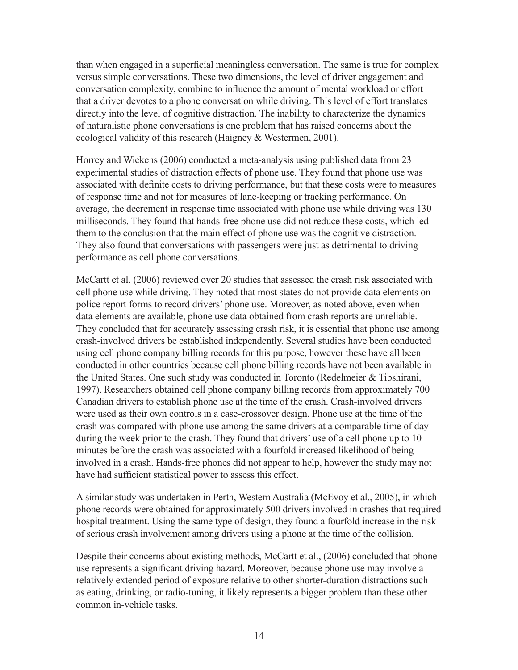than when engaged in a superficial meaningless conversation. The same is true for complex versus simple conversations. These two dimensions, the level of driver engagement and conversation complexity, combine to influence the amount of mental workload or effort that a driver devotes to a phone conversation while driving. This level of effort translates directly into the level of cognitive distraction. The inability to characterize the dynamics of naturalistic phone conversations is one problem that has raised concerns about the ecological validity of this research (Haigney & Westermen, 2001).

Horrey and Wickens (2006) conducted a meta-analysis using published data from 23 experimental studies of distraction effects of phone use. They found that phone use was associated with definite costs to driving performance, but that these costs were to measures of response time and not for measures of lane-keeping or tracking performance. On average, the decrement in response time associated with phone use while driving was 130 milliseconds. They found that hands-free phone use did not reduce these costs, which led them to the conclusion that the main effect of phone use was the cognitive distraction. They also found that conversations with passengers were just as detrimental to driving performance as cell phone conversations.

McCartt et al. (2006) reviewed over 20 studies that assessed the crash risk associated with cell phone use while driving. They noted that most states do not provide data elements on police report forms to record drivers' phone use. Moreover, as noted above, even when data elements are available, phone use data obtained from crash reports are unreliable. They concluded that for accurately assessing crash risk, it is essential that phone use among crash-involved drivers be established independently. Several studies have been conducted using cell phone company billing records for this purpose, however these have all been conducted in other countries because cell phone billing records have not been available in the United States. One such study was conducted in Toronto (Redelmeier & Tibshirani, 1997). Researchers obtained cell phone company billing records from approximately 700 Canadian drivers to establish phone use at the time of the crash. Crash-involved drivers were used as their own controls in a case-crossover design. Phone use at the time of the crash was compared with phone use among the same drivers at a comparable time of day during the week prior to the crash. They found that drivers' use of a cell phone up to 10 minutes before the crash was associated with a fourfold increased likelihood of being involved in a crash. Hands-free phones did not appear to help, however the study may not have had sufficient statistical power to assess this effect.

A similar study was undertaken in Perth, Western Australia (McEvoy et al., 2005), in which phone records were obtained for approximately 500 drivers involved in crashes that required hospital treatment. Using the same type of design, they found a fourfold increase in the risk of serious crash involvement among drivers using a phone at the time of the collision.

Despite their concerns about existing methods, McCartt et al., (2006) concluded that phone use represents a significant driving hazard. Moreover, because phone use may involve a relatively extended period of exposure relative to other shorter-duration distractions such as eating, drinking, or radio-tuning, it likely represents a bigger problem than these other common in-vehicle tasks.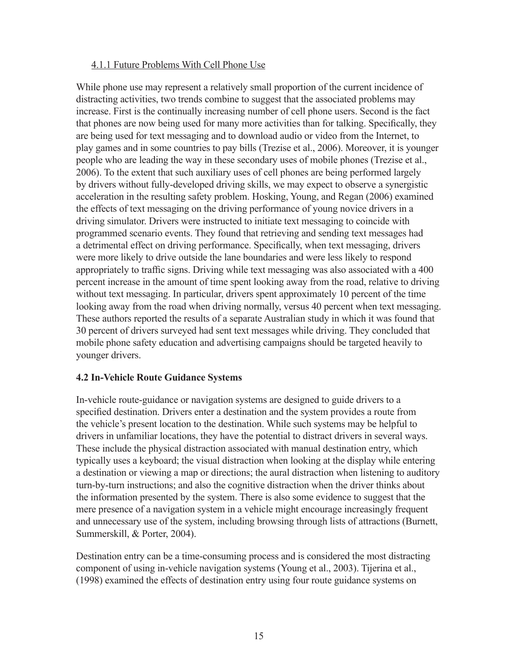## 4.1.1 Future Problems With Cell Phone Use

While phone use may represent a relatively small proportion of the current incidence of distracting activities, two trends combine to suggest that the associated problems may increase. First is the continually increasing number of cell phone users. Second is the fact that phones are now being used for many more activities than for talking. Specifically, they are being used for text messaging and to download audio or video from the Internet, to play games and in some countries to pay bills (Trezise et al., 2006). Moreover, it is younger people who are leading the way in these secondary uses of mobile phones (Trezise et al., 2006). To the extent that such auxiliary uses of cell phones are being performed largely by drivers without fully-developed driving skills, we may expect to observe a synergistic acceleration in the resulting safety problem. Hosking, Young, and Regan (2006) examined the effects of text messaging on the driving performance of young novice drivers in a driving simulator. Drivers were instructed to initiate text messaging to coincide with programmed scenario events. They found that retrieving and sending text messages had a detrimental effect on driving performance. Specifically, when text messaging, drivers were more likely to drive outside the lane boundaries and were less likely to respond appropriately to traffic signs. Driving while text messaging was also associated with a 400 percent increase in the amount of time spent looking away from the road, relative to driving without text messaging. In particular, drivers spent approximately 10 percent of the time looking away from the road when driving normally, versus 40 percent when text messaging. These authors reported the results of a separate Australian study in which it was found that 30 percent of drivers surveyed had sent text messages while driving. They concluded that mobile phone safety education and advertising campaigns should be targeted heavily to younger drivers.

## **4.2 In-Vehicle Route Guidance Systems**

In-vehicle route-guidance or navigation systems are designed to guide drivers to a specified destination. Drivers enter a destination and the system provides a route from the vehicle's present location to the destination. While such systems may be helpful to drivers in unfamiliar locations, they have the potential to distract drivers in several ways. These include the physical distraction associated with manual destination entry, which typically uses a keyboard; the visual distraction when looking at the display while entering a destination or viewing a map or directions; the aural distraction when listening to auditory turn-by-turn instructions; and also the cognitive distraction when the driver thinks about the information presented by the system. There is also some evidence to suggest that the mere presence of a navigation system in a vehicle might encourage increasingly frequent and unnecessary use of the system, including browsing through lists of attractions (Burnett, Summerskill, & Porter, 2004).

Destination entry can be a time-consuming process and is considered the most distracting component of using in-vehicle navigation systems (Young et al., 2003). Tijerina et al., (1998) examined the effects of destination entry using four route guidance systems on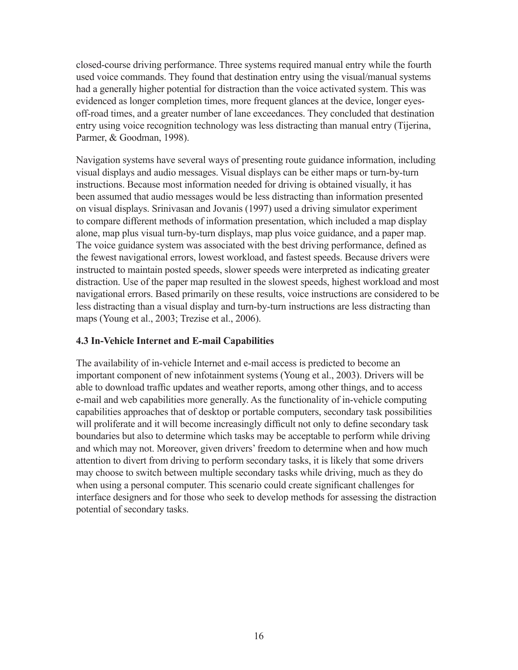closed-course driving performance. Three systems required manual entry while the fourth used voice commands. They found that destination entry using the visual/manual systems had a generally higher potential for distraction than the voice activated system. This was evidenced as longer completion times, more frequent glances at the device, longer eyesoff-road times, and a greater number of lane exceedances. They concluded that destination entry using voice recognition technology was less distracting than manual entry (Tijerina, Parmer, & Goodman, 1998).

Navigation systems have several ways of presenting route guidance information, including visual displays and audio messages. Visual displays can be either maps or turn-by-turn instructions. Because most information needed for driving is obtained visually, it has been assumed that audio messages would be less distracting than information presented on visual displays. Srinivasan and Jovanis (1997) used a driving simulator experiment to compare different methods of information presentation, which included a map display alone, map plus visual turn-by-turn displays, map plus voice guidance, and a paper map. The voice guidance system was associated with the best driving performance, defined as the fewest navigational errors, lowest workload, and fastest speeds. Because drivers were instructed to maintain posted speeds, slower speeds were interpreted as indicating greater distraction. Use of the paper map resulted in the slowest speeds, highest workload and most navigational errors. Based primarily on these results, voice instructions are considered to be less distracting than a visual display and turn-by-turn instructions are less distracting than maps (Young et al., 2003; Trezise et al., 2006).

## **4.3 In-Vehicle Internet and E-mail Capabilities**

The availability of in-vehicle Internet and e-mail access is predicted to become an important component of new infotainment systems (Young et al., 2003). Drivers will be able to download traffic updates and weather reports, among other things, and to access e-mail and web capabilities more generally. As the functionality of in-vehicle computing capabilities approaches that of desktop or portable computers, secondary task possibilities will proliferate and it will become increasingly difficult not only to define secondary task boundaries but also to determine which tasks may be acceptable to perform while driving and which may not. Moreover, given drivers' freedom to determine when and how much attention to divert from driving to perform secondary tasks, it is likely that some drivers may choose to switch between multiple secondary tasks while driving, much as they do when using a personal computer. This scenario could create significant challenges for interface designers and for those who seek to develop methods for assessing the distraction potential of secondary tasks.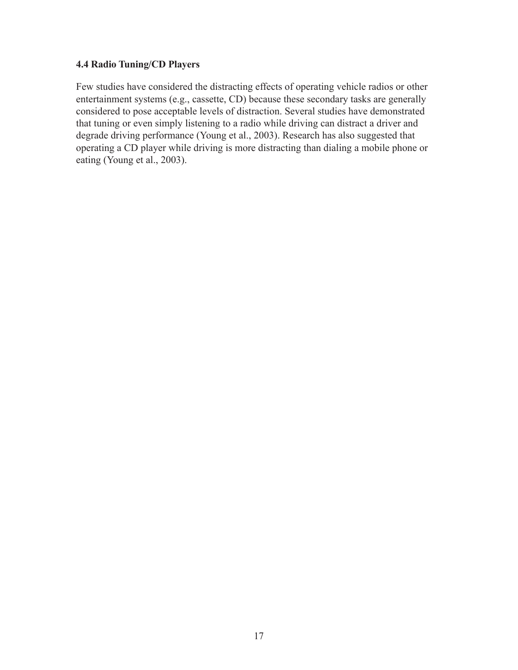## **4.4 Radio Tuning/CD Players**

Few studies have considered the distracting effects of operating vehicle radios or other entertainment systems (e.g., cassette, CD) because these secondary tasks are generally considered to pose acceptable levels of distraction. Several studies have demonstrated that tuning or even simply listening to a radio while driving can distract a driver and degrade driving performance (Young et al., 2003). Research has also suggested that operating a CD player while driving is more distracting than dialing a mobile phone or eating (Young et al., 2003).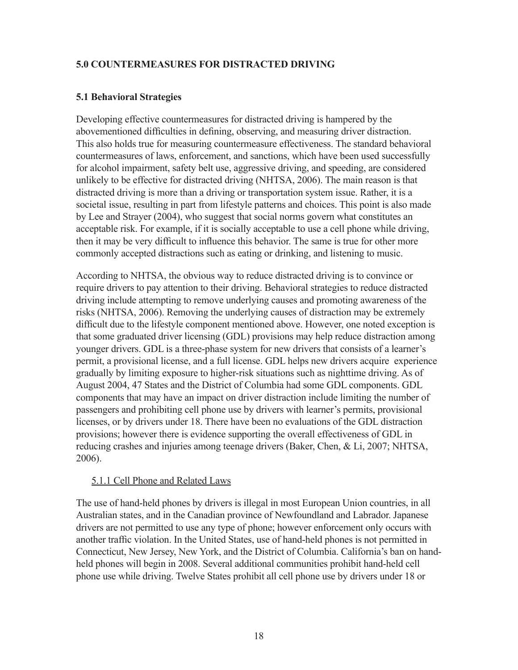## **5.0 COUNTERMEASURES FOR DISTRACTED DRIVING**

## **5.1 Behavioral Strategies**

Developing effective countermeasures for distracted driving is hampered by the abovementioned difficulties in defining, observing, and measuring driver distraction. This also holds true for measuring countermeasure effectiveness. The standard behavioral countermeasures of laws, enforcement, and sanctions, which have been used successfully for alcohol impairment, safety belt use, aggressive driving, and speeding, are considered unlikely to be effective for distracted driving (NHTSA, 2006). The main reason is that distracted driving is more than a driving or transportation system issue. Rather, it is a societal issue, resulting in part from lifestyle patterns and choices. This point is also made by Lee and Strayer (2004), who suggest that social norms govern what constitutes an acceptable risk. For example, if it is socially acceptable to use a cell phone while driving, then it may be very difficult to influence this behavior. The same is true for other more commonly accepted distractions such as eating or drinking, and listening to music.

According to NHTSA, the obvious way to reduce distracted driving is to convince or require drivers to pay attention to their driving. Behavioral strategies to reduce distracted driving include attempting to remove underlying causes and promoting awareness of the risks (NHTSA, 2006). Removing the underlying causes of distraction may be extremely difficult due to the lifestyle component mentioned above. However, one noted exception is that some graduated driver licensing (GDL) provisions may help reduce distraction among younger drivers. GDL is a three-phase system for new drivers that consists of a learner's permit, a provisional license, and a full license. GDL helps new drivers acquire experience gradually by limiting exposure to higher-risk situations such as nighttime driving. As of August 2004, 47 States and the District of Columbia had some GDL components. GDL components that may have an impact on driver distraction include limiting the number of passengers and prohibiting cell phone use by drivers with learner's permits, provisional licenses, or by drivers under 18. There have been no evaluations of the GDL distraction provisions; however there is evidence supporting the overall effectiveness of GDL in reducing crashes and injuries among teenage drivers (Baker, Chen, & Li, 2007; NHTSA, 2006).

## 5.1.1 Cell Phone and Related Laws

The use of hand-held phones by drivers is illegal in most European Union countries, in all Australian states, and in the Canadian province of Newfoundland and Labrador. Japanese drivers are not permitted to use any type of phone; however enforcement only occurs with another traffic violation. In the United States, use of hand-held phones is not permitted in Connecticut, New Jersey, New York, and the District of Columbia. California's ban on handheld phones will begin in 2008. Several additional communities prohibit hand-held cell phone use while driving. Twelve States prohibit all cell phone use by drivers under 18 or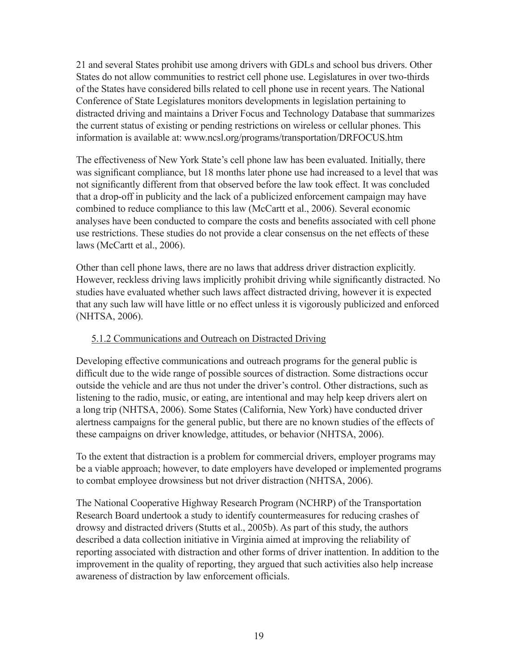21 and several States prohibit use among drivers with GDLs and school bus drivers. Other States do not allow communities to restrict cell phone use. Legislatures in over two-thirds of the States have considered bills related to cell phone use in recent years. The National Conference of State Legislatures monitors developments in legislation pertaining to distracted driving and maintains a Driver Focus and Technology Database that summarizes the current status of existing or pending restrictions on wireless or cellular phones. This information is available at: www.ncsl.org/programs/transportation/DRFOCUS.htm

The effectiveness of New York State's cell phone law has been evaluated. Initially, there was significant compliance, but 18 months later phone use had increased to a level that was not significantly different from that observed before the law took effect. It was concluded that a drop-off in publicity and the lack of a publicized enforcement campaign may have combined to reduce compliance to this law (McCartt et al., 2006). Several economic analyses have been conducted to compare the costs and benefits associated with cell phone use restrictions. These studies do not provide a clear consensus on the net effects of these laws (McCartt et al., 2006).

Other than cell phone laws, there are no laws that address driver distraction explicitly. However, reckless driving laws implicitly prohibit driving while significantly distracted. No studies have evaluated whether such laws affect distracted driving, however it is expected that any such law will have little or no effect unless it is vigorously publicized and enforced (NHTSA, 2006).

#### 5.1.2 Communications and Outreach on Distracted Driving

Developing effective communications and outreach programs for the general public is difficult due to the wide range of possible sources of distraction. Some distractions occur outside the vehicle and are thus not under the driver's control. Other distractions, such as listening to the radio, music, or eating, are intentional and may help keep drivers alert on a long trip (NHTSA, 2006). Some States (California, New York) have conducted driver alertness campaigns for the general public, but there are no known studies of the effects of these campaigns on driver knowledge, attitudes, or behavior (NHTSA, 2006).

To the extent that distraction is a problem for commercial drivers, employer programs may be a viable approach; however, to date employers have developed or implemented programs to combat employee drowsiness but not driver distraction (NHTSA, 2006).

The National Cooperative Highway Research Program (NCHRP) of the Transportation Research Board undertook a study to identify countermeasures for reducing crashes of drowsy and distracted drivers (Stutts et al., 2005b). As part of this study, the authors described a data collection initiative in Virginia aimed at improving the reliability of reporting associated with distraction and other forms of driver inattention. In addition to the improvement in the quality of reporting, they argued that such activities also help increase awareness of distraction by law enforcement officials.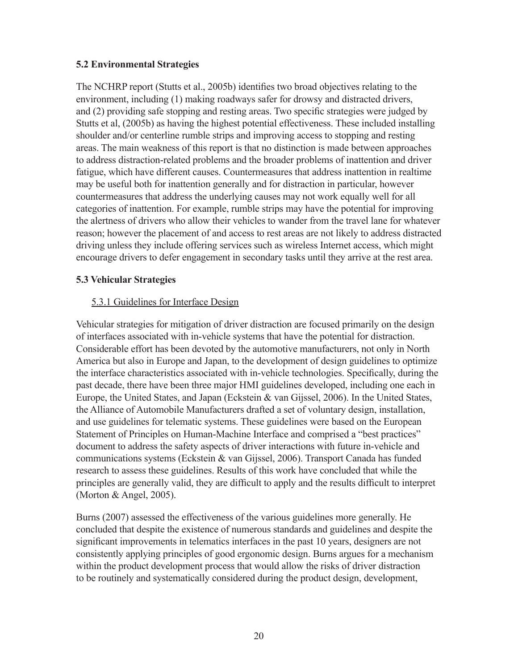## **5.2 Environmental Strategies**

The NCHRP report (Stutts et al., 2005b) identifies two broad objectives relating to the environment, including (1) making roadways safer for drowsy and distracted drivers, and (2) providing safe stopping and resting areas. Two specific strategies were judged by Stutts et al, (2005b) as having the highest potential effectiveness. These included installing shoulder and/or centerline rumble strips and improving access to stopping and resting areas. The main weakness of this report is that no distinction is made between approaches to address distraction-related problems and the broader problems of inattention and driver fatigue, which have different causes. Countermeasures that address inattention in realtime may be useful both for inattention generally and for distraction in particular, however countermeasures that address the underlying causes may not work equally well for all categories of inattention. For example, rumble strips may have the potential for improving the alertness of drivers who allow their vehicles to wander from the travel lane for whatever reason; however the placement of and access to rest areas are not likely to address distracted driving unless they include offering services such as wireless Internet access, which might encourage drivers to defer engagement in secondary tasks until they arrive at the rest area.

## **5.3 Vehicular Strategies**

## 5.3.1 Guidelines for Interface Design

Vehicular strategies for mitigation of driver distraction are focused primarily on the design of interfaces associated with in-vehicle systems that have the potential for distraction. Considerable effort has been devoted by the automotive manufacturers, not only in North America but also in Europe and Japan, to the development of design guidelines to optimize the interface characteristics associated with in-vehicle technologies. Specifically, during the past decade, there have been three major HMI guidelines developed, including one each in Europe, the United States, and Japan (Eckstein & van Gijssel, 2006). In the United States, the Alliance of Automobile Manufacturers drafted a set of voluntary design, installation, and use guidelines for telematic systems. These guidelines were based on the European Statement of Principles on Human-Machine Interface and comprised a "best practices" document to address the safety aspects of driver interactions with future in-vehicle and communications systems (Eckstein & van Gijssel, 2006). Transport Canada has funded research to assess these guidelines. Results of this work have concluded that while the principles are generally valid, they are difficult to apply and the results difficult to interpret (Morton & Angel, 2005).

Burns (2007) assessed the effectiveness of the various guidelines more generally. He concluded that despite the existence of numerous standards and guidelines and despite the significant improvements in telematics interfaces in the past 10 years, designers are not consistently applying principles of good ergonomic design. Burns argues for a mechanism within the product development process that would allow the risks of driver distraction to be routinely and systematically considered during the product design, development,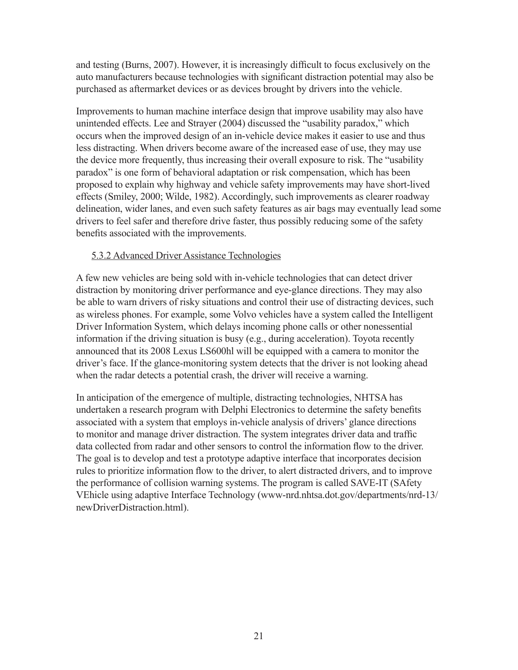and testing (Burns, 2007). However, it is increasingly difficult to focus exclusively on the auto manufacturers because technologies with significant distraction potential may also be purchased as aftermarket devices or as devices brought by drivers into the vehicle.

Improvements to human machine interface design that improve usability may also have unintended effects. Lee and Strayer (2004) discussed the "usability paradox," which occurs when the improved design of an in-vehicle device makes it easier to use and thus less distracting. When drivers become aware of the increased ease of use, they may use the device more frequently, thus increasing their overall exposure to risk. The "usability paradox" is one form of behavioral adaptation or risk compensation, which has been proposed to explain why highway and vehicle safety improvements may have short-lived effects (Smiley, 2000; Wilde, 1982). Accordingly, such improvements as clearer roadway delineation, wider lanes, and even such safety features as air bags may eventually lead some drivers to feel safer and therefore drive faster, thus possibly reducing some of the safety benefits associated with the improvements.

#### 5.3.2 Advanced Driver Assistance Technologies

A few new vehicles are being sold with in-vehicle technologies that can detect driver distraction by monitoring driver performance and eye-glance directions. They may also be able to warn drivers of risky situations and control their use of distracting devices, such as wireless phones. For example, some Volvo vehicles have a system called the Intelligent Driver Information System, which delays incoming phone calls or other nonessential information if the driving situation is busy (e.g., during acceleration). Toyota recently announced that its 2008 Lexus LS600hl will be equipped with a camera to monitor the driver's face. If the glance-monitoring system detects that the driver is not looking ahead when the radar detects a potential crash, the driver will receive a warning.

In anticipation of the emergence of multiple, distracting technologies, NHTSA has undertaken a research program with Delphi Electronics to determine the safety benefits associated with a system that employs in-vehicle analysis of drivers' glance directions to monitor and manage driver distraction. The system integrates driver data and traffic data collected from radar and other sensors to control the information flow to the driver. The goal is to develop and test a prototype adaptive interface that incorporates decision rules to prioritize information flow to the driver, to alert distracted drivers, and to improve the performance of collision warning systems. The program is called SAVE-IT (SAfety VEhicle using adaptive Interface Technology (www-nrd.nhtsa.dot.gov/departments/nrd-13/ newDriverDistraction.html).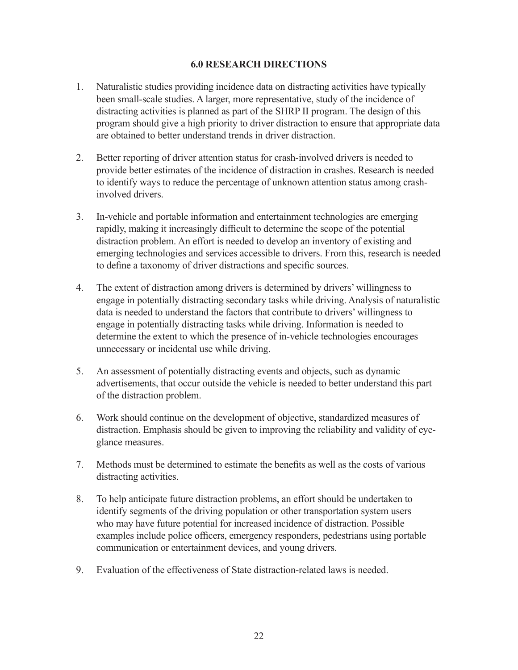#### **6.0 RESEARCH DIRECTIONS**

- 1. Naturalistic studies providing incidence data on distracting activities have typically been small-scale studies. A larger, more representative, study of the incidence of distracting activities is planned as part of the SHRP II program. The design of this program should give a high priority to driver distraction to ensure that appropriate data are obtained to better understand trends in driver distraction.
- 2. Better reporting of driver attention status for crash-involved drivers is needed to provide better estimates of the incidence of distraction in crashes. Research is needed to identify ways to reduce the percentage of unknown attention status among crashinvolved drivers.
- 3. In-vehicle and portable information and entertainment technologies are emerging rapidly, making it increasingly difficult to determine the scope of the potential distraction problem. An effort is needed to develop an inventory of existing and emerging technologies and services accessible to drivers. From this, research is needed to define a taxonomy of driver distractions and specific sources.
- 4. The extent of distraction among drivers is determined by drivers' willingness to engage in potentially distracting secondary tasks while driving. Analysis of naturalistic data is needed to understand the factors that contribute to drivers' willingness to engage in potentially distracting tasks while driving. Information is needed to determine the extent to which the presence of in-vehicle technologies encourages unnecessary or incidental use while driving.
- 5. An assessment of potentially distracting events and objects, such as dynamic advertisements, that occur outside the vehicle is needed to better understand this part of the distraction problem.
- 6. Work should continue on the development of objective, standardized measures of distraction. Emphasis should be given to improving the reliability and validity of eyeglance measures.
- 7. Methods must be determined to estimate the benefits as well as the costs of various distracting activities.
- 8. To help anticipate future distraction problems, an effort should be undertaken to identify segments of the driving population or other transportation system users who may have future potential for increased incidence of distraction. Possible examples include police officers, emergency responders, pedestrians using portable communication or entertainment devices, and young drivers.
- 9. Evaluation of the effectiveness of State distraction-related laws is needed.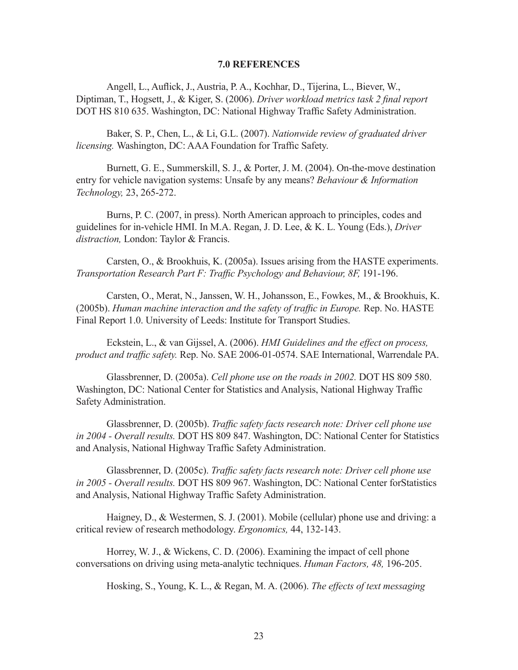#### **7.0 REFERENCES**

Angell, L., Auflick, J., Austria, P. A., Kochhar, D., Tijerina, L., Biever, W., Diptiman, T., Hogsett, J., & Kiger, S. (2006). *Driver workload metrics task 2 final report*  DOT HS 810 635. Washington, DC: National Highway Traffic Safety Administration.

Baker, S. P., Chen, L., & Li, G.L. (2007). *Nationwide review of graduated driver licensing.* Washington, DC: AAA Foundation for Traffic Safety.

Burnett, G. E., Summerskill, S. J., & Porter, J. M. (2004). On-the-move destination entry for vehicle navigation systems: Unsafe by any means? *Behaviour & Information Technology,* 23, 265-272.

Burns, P. C. (2007, in press). North American approach to principles, codes and guidelines for in-vehicle HMI. In M.A. Regan, J. D. Lee, & K. L. Young (Eds.), *Driver distraction,* London: Taylor & Francis.

Carsten, O., & Brookhuis, K. (2005a). Issues arising from the HASTE experiments. *Transportation Research Part F: Traffic Psychology and Behaviour, 8F, 191-196.* 

Carsten, O., Merat, N., Janssen, W. H., Johansson, E., Fowkes, M., & Brookhuis, K. (2005b). *Human machine interaction and the safety of traffic in Europe.* Rep. No. HASTE Final Report 1.0. University of Leeds: Institute for Transport Studies.

Eckstein, L., & van Gijssel, A. (2006). *HMI Guidelines and the effect on process, product and traffic safety.* Rep. No. SAE 2006-01-0574. SAE International, Warrendale PA.

Glassbrenner, D. (2005a). *Cell phone use on the roads in 2002.* DOT HS 809 580. Washington, DC: National Center for Statistics and Analysis, National Highway Traffic Safety Administration.

Glassbrenner, D. (2005b). *Traffic safety facts research note: Driver cell phone use in 2004 - Overall results.* DOT HS 809 847. Washington, DC: National Center for Statistics and Analysis, National Highway Traffic Safety Administration.

Glassbrenner, D. (2005c). *Traffic safety facts research note: Driver cell phone use in 2005 - Overall results.* DOT HS 809 967. Washington, DC: National Center forStatistics and Analysis, National Highway Traffic Safety Administration.

Haigney, D., & Westermen, S. J. (2001). Mobile (cellular) phone use and driving: a critical review of research methodology. *Ergonomics,* 44, 132-143.

Horrey, W. J., & Wickens, C. D. (2006). Examining the impact of cell phone conversations on driving using meta-analytic techniques. *Human Factors, 48,* 196-205.

Hosking, S., Young, K. L., & Regan, M. A. (2006). *The effects of text messaging*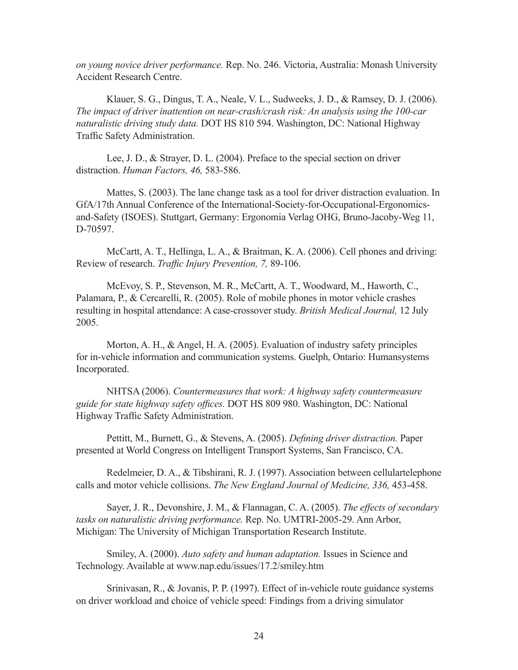*on young novice driver performance.* Rep. No. 246. Victoria, Australia: Monash University Accident Research Centre.

Klauer, S. G., Dingus, T. A., Neale, V. L., Sudweeks, J. D., & Ramsey, D. J. (2006). *The impact of driver inattention on near-crash/crash risk: An analysis using the 100-car naturalistic driving study data.* DOT HS 810 594. Washington, DC: National Highway Traffic Safety Administration.

Lee, J. D., & Strayer, D. L. (2004). Preface to the special section on driver distraction. *Human Factors, 46,* 583-586.

Mattes, S. (2003). The lane change task as a tool for driver distraction evaluation. In GfA/17th Annual Conference of the International-Society-for-Occupational-Ergonomicsand-Safety (ISOES). Stuttgart, Germany: Ergonomia Verlag OHG, Bruno-Jacoby-Weg 11, D-70597.

McCartt, A. T., Hellinga, L. A., & Braitman, K. A. (2006). Cell phones and driving: Review of research. *Traffic Injury Prevention, 7,* 89-106.

McEvoy, S. P., Stevenson, M. R., McCartt, A. T., Woodward, M., Haworth, C., Palamara, P., & Cercarelli, R. (2005). Role of mobile phones in motor vehicle crashes resulting in hospital attendance: A case-crossover study. *British Medical Journal,* 12 July 2005.

Morton, A. H., & Angel, H. A. (2005). Evaluation of industry safety principles for in-vehicle information and communication systems. Guelph, Ontario: Humansystems Incorporated.

NHTSA (2006). *Countermeasures that work: A highway safety countermeasure guide for state highway safety offices.* DOT HS 809 980. Washington, DC: National Highway Traffic Safety Administration.

Pettitt, M., Burnett, G., & Stevens, A. (2005). *Defining driver distraction.* Paper presented at World Congress on Intelligent Transport Systems, San Francisco, CA.

Redelmeier, D. A., & Tibshirani, R. J. (1997). Association between cellulartelephone calls and motor vehicle collisions. *The New England Journal of Medicine, 336,* 453-458.

Sayer, J. R., Devonshire, J. M., & Flannagan, C. A. (2005). *The effects of secondary tasks on naturalistic driving performance.* Rep. No. UMTRI-2005-29. Ann Arbor, Michigan: The University of Michigan Transportation Research Institute.

Smiley, A. (2000). *Auto safety and human adaptation.* Issues in Science and Technology. Available at www.nap.edu/issues/17.2/smiley.htm

Srinivasan, R., & Jovanis, P. P. (1997). Effect of in-vehicle route guidance systems on driver workload and choice of vehicle speed: Findings from a driving simulator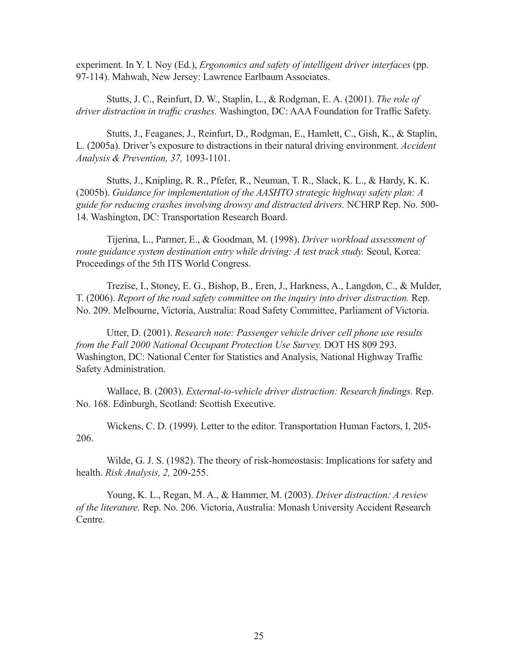experiment. In Y. I. Noy (Ed.), *Ergonomics and safety of intelligent driver interfaces* (pp. 97-114). Mahwah, New Jersey: Lawrence Earlbaum Associates.

Stutts, J. C., Reinfurt, D. W., Staplin, L., & Rodgman, E. A. (2001). *The role of driver distraction in traffic crashes.* Washington, DC: AAA Foundation for Traffic Safety.

Stutts, J., Feaganes, J., Reinfurt, D., Rodgman, E., Hamlett, C., Gish, K., & Staplin, L. (2005a). Driver's exposure to distractions in their natural driving environment. *Accident Analysis & Prevention, 37,* 1093-1101.

Stutts, J., Knipling, R. R., Pfefer, R., Neuman, T. R., Slack, K. L., & Hardy, K. K. (2005b). *Guidance for implementation of the AASHTO strategic highway safety plan: A guide for reducing crashes involving drowsy and distracted drivers.* NCHRP Rep. No. 500- 14. Washington, DC: Transportation Research Board.

Tijerina, L., Parmer, E., & Goodman, M. (1998). *Driver workload assessment of route guidance system destination entry while driving: A test track study. Seoul, Korea:* Proceedings of the 5th ITS World Congress.

Trezise, I., Stoney, E. G., Bishop, B., Eren, J., Harkness, A., Langdon, C., & Mulder, T. (2006). *Report of the road safety committee on the inquiry into driver distraction.* Rep. No. 209. Melbourne, Victoria, Australia: Road Safety Committee, Parliament of Victoria.

Utter, D. (2001). *Research note: Passenger vehicle driver cell phone use results from the Fall 2000 National Occupant Protection Use Survey.* DOT HS 809 293. Washington, DC: National Center for Statistics and Analysis, National Highway Traffic Safety Administration.

Wallace, B. (2003). *External-to-vehicle driver distraction: Research findings.* Rep. No. 168. Edinburgh, Scotland: Scottish Executive.

Wickens, C. D. (1999). Letter to the editor. Transportation Human Factors, I, 205- 206.

Wilde, G. J. S. (1982). The theory of risk-homeostasis: Implications for safety and health. *Risk Analysis, 2,* 209-255.

Young, K. L., Regan, M. A., & Hammer, M. (2003). *Driver distraction: A review of the literature.* Rep. No. 206. Victoria, Australia: Monash University Accident Research Centre.